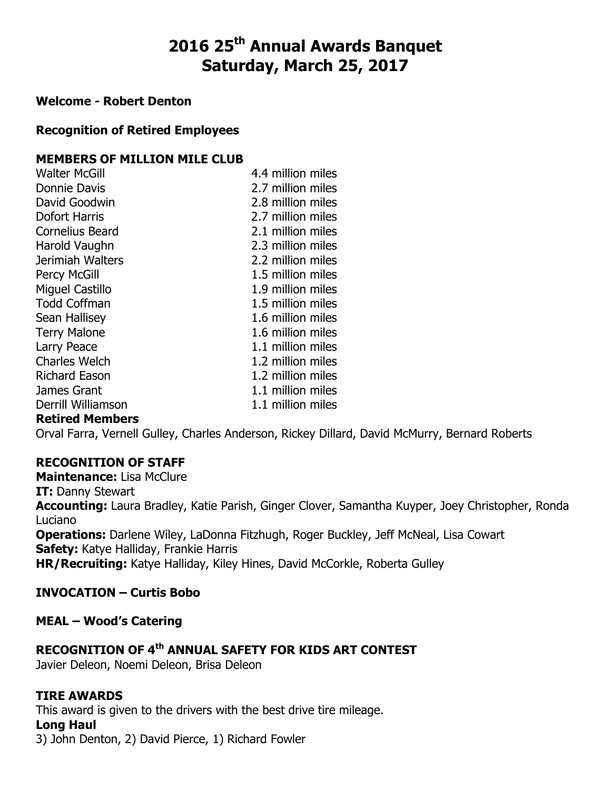# 2016 25<sup>th</sup> Annual Awards Banquet Saturday, March 25, 2017

#### Welcome - Robert Denton

### Recognition of Retired Employees

### MEMBERS OF MILLION MILE CLUB

Walter McGill 4.4 million miles Donnie Davis 2.7 million miles David Goodwin 2.8 million miles Dofort Harris 2.7 million miles Cornelius Beard 2.1 million miles Harold Vaughn 2.3 million miles Jerimiah Walters 2.2 million miles Percy McGill 2.5 million miles Miguel Castillo 1.9 million miles Todd Coffman 1.5 million miles Sean Hallisey **1.6 million miles** Terry Malone 1.6 million miles Larry Peace 2.1 million miles Charles Welch 1.2 million miles Richard Eason 1.2 million miles James Grant 1.1 million miles Derrill Williamson 1.1 million miles

#### Retired Members

Orval Farra, Vernell Gulley, Charles Anderson, Rickey Dillard, David McMurry, Bernard Roberts

# RECOGNITION OF STAFF

Maintenance: Lisa McClure

#### **IT:** Danny Stewart

Accounting: Laura Bradley, Katie Parish, Ginger Clover, Samantha Kuyper, Joey Christopher, Ronda Luciano

**Operations:** Darlene Wiley, LaDonna Fitzhugh, Roger Buckley, Jeff McNeal, Lisa Cowart Safety: Katye Halliday, Frankie Harris

HR/Recruiting: Katye Halliday, Kiley Hines, David McCorkle, Roberta Gulley

# INVOCATION – Curtis Bobo

MEAL – Wood's Catering

# RECOGNITION OF 4<sup>th</sup> ANNUAL SAFETY FOR KIDS ART CONTEST

Javier Deleon, Noemi Deleon, Brisa Deleon

### TIRE AWARDS

This award is given to the drivers with the best drive tire mileage.

### Long Haul

3) John Denton, 2) David Pierce, 1) Richard Fowler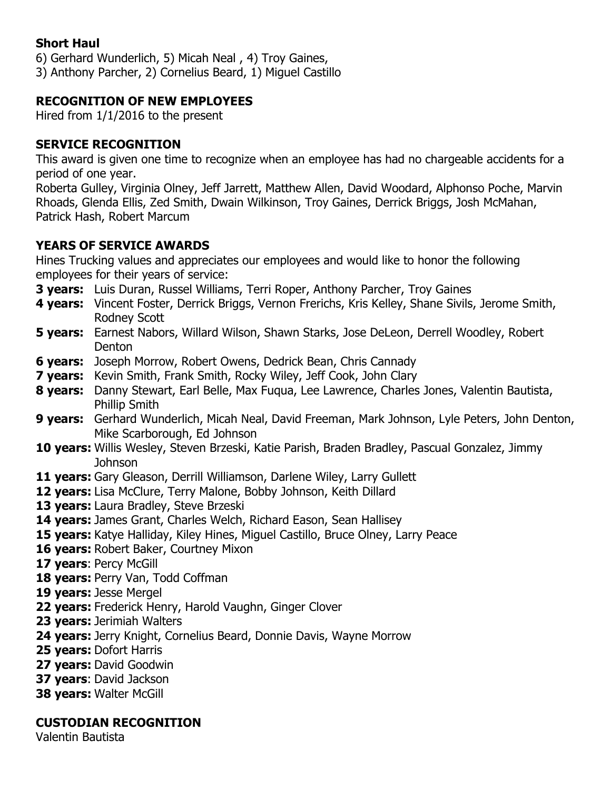# Short Haul

6) Gerhard Wunderlich, 5) Micah Neal , 4) Troy Gaines,

3) Anthony Parcher, 2) Cornelius Beard, 1) Miguel Castillo

# RECOGNITION OF NEW EMPLOYEES

Hired from 1/1/2016 to the present

# SERVICE RECOGNITION

This award is given one time to recognize when an employee has had no chargeable accidents for a period of one year.

Roberta Gulley, Virginia Olney, Jeff Jarrett, Matthew Allen, David Woodard, Alphonso Poche, Marvin Rhoads, Glenda Ellis, Zed Smith, Dwain Wilkinson, Troy Gaines, Derrick Briggs, Josh McMahan, Patrick Hash, Robert Marcum

# YEARS OF SERVICE AWARDS

Hines Trucking values and appreciates our employees and would like to honor the following employees for their years of service:

- **3 years:** Luis Duran, Russel Williams, Terri Roper, Anthony Parcher, Troy Gaines
- 4 years: Vincent Foster, Derrick Briggs, Vernon Frerichs, Kris Kelley, Shane Sivils, Jerome Smith, Rodney Scott
- **5 years:** Earnest Nabors, Willard Wilson, Shawn Starks, Jose DeLeon, Derrell Woodley, Robert Denton
- **6 years:** Joseph Morrow, Robert Owens, Dedrick Bean, Chris Cannady
- **7 years:** Kevin Smith, Frank Smith, Rocky Wiley, Jeff Cook, John Clary
- 8 years: Danny Stewart, Earl Belle, Max Fugua, Lee Lawrence, Charles Jones, Valentin Bautista, Phillip Smith
- 9 years: Gerhard Wunderlich, Micah Neal, David Freeman, Mark Johnson, Lyle Peters, John Denton, Mike Scarborough, Ed Johnson
- 10 years: Willis Wesley, Steven Brzeski, Katie Parish, Braden Bradley, Pascual Gonzalez, Jimmy Johnson
- 11 years: Gary Gleason, Derrill Williamson, Darlene Wiley, Larry Gullett
- 12 years: Lisa McClure, Terry Malone, Bobby Johnson, Keith Dillard
- 13 years: Laura Bradley, Steve Brzeski
- 14 years: James Grant, Charles Welch, Richard Eason, Sean Hallisey
- 15 years: Katye Halliday, Kiley Hines, Miguel Castillo, Bruce Olney, Larry Peace
- 16 vears: Robert Baker, Courtney Mixon
- 17 years: Percy McGill
- 18 years: Perry Van, Todd Coffman
- 19 years: Jesse Mergel
- 22 years: Frederick Henry, Harold Vaughn, Ginger Clover
- 23 years: Jerimiah Walters
- 24 years: Jerry Knight, Cornelius Beard, Donnie Davis, Wayne Morrow
- 25 years: Dofort Harris
- 27 vears: David Goodwin
- 37 years: David Jackson
- **38 years: Walter McGill**

# CUSTODIAN RECOGNITION

Valentin Bautista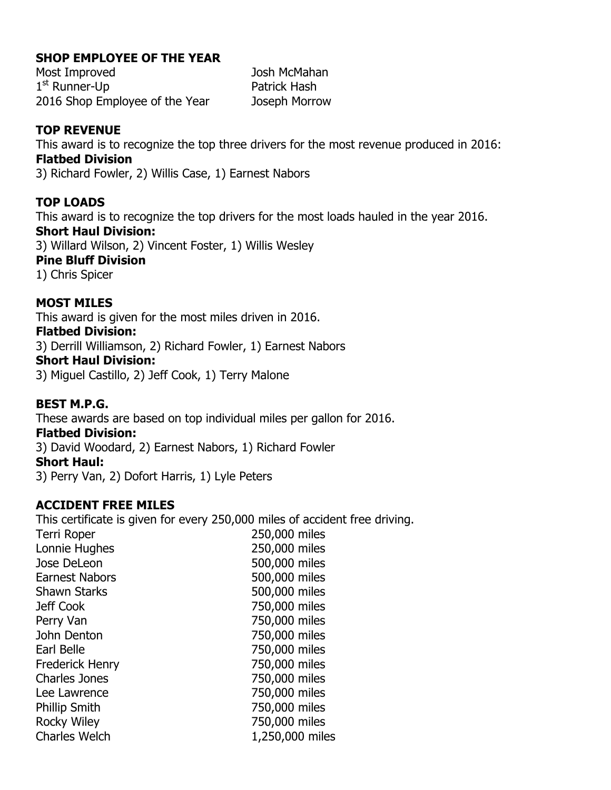### SHOP EMPLOYEE OF THE YEAR

Most Improved Josh McMahan 1<sup>st</sup> Runner-Up **Patrick Hash** 2016 Shop Employee of the Year Joseph Morrow

# TOP REVENUE

This award is to recognize the top three drivers for the most revenue produced in 2016: Flatbed Division 3) Richard Fowler, 2) Willis Case, 1) Earnest Nabors

### TOP LOADS

This award is to recognize the top drivers for the most loads hauled in the year 2016. Short Haul Division: 3) Willard Wilson, 2) Vincent Foster, 1) Willis Wesley Pine Bluff Division 1) Chris Spicer

### MOST MILES

This award is given for the most miles driven in 2016.

#### Flatbed Division:

3) Derrill Williamson, 2) Richard Fowler, 1) Earnest Nabors

#### Short Haul Division:

3) Miguel Castillo, 2) Jeff Cook, 1) Terry Malone

### BEST M.P.G.

These awards are based on top individual miles per gallon for 2016. Flatbed Division: 3) David Woodard, 2) Earnest Nabors, 1) Richard Fowler Short Haul: 3) Perry Van, 2) Dofort Harris, 1) Lyle Peters

### ACCIDENT FREE MILES

This certificate is given for every 250,000 miles of accident free driving. Terri Roper 250,000 miles Lonnie Hughes 250,000 miles Jose DeLeon 500,000 miles Earnest Nabors 500,000 miles Shawn Starks 500,000 miles Jeff Cook 750,000 miles Perry Van 2000 miles John Denton 750,000 miles Earl Belle 750,000 miles Frederick Henry 750,000 miles Charles Jones 750,000 miles Lee Lawrence 750,000 miles Phillip Smith 750,000 miles Rocky Wiley **750,000 miles** Charles Welch 1,250,000 miles